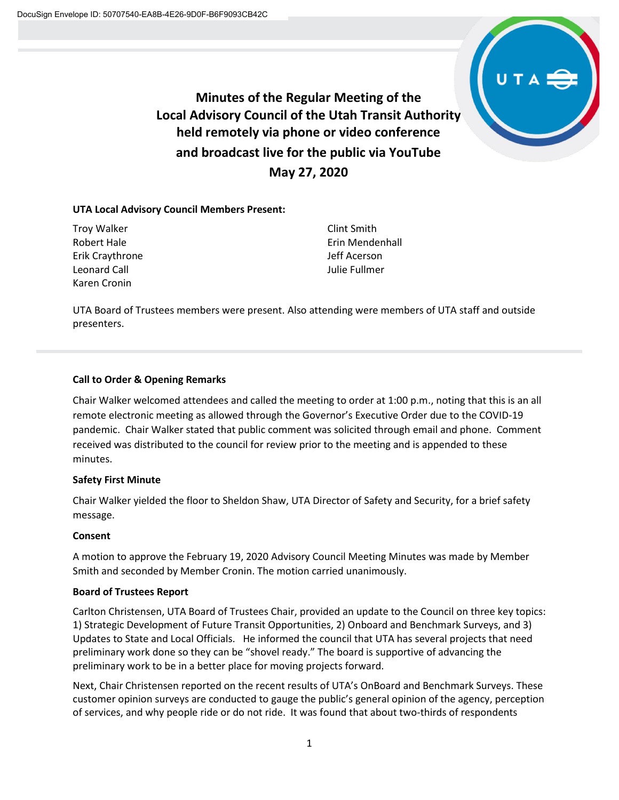

**Minutes of the Regular Meeting of the Local Advisory Council of the Utah Transit Authority held remotely via phone or video conference and broadcast live for the public via YouTube May 27, 2020**

# **UTA Local Advisory Council Members Present:**

Troy Walker Robert Hale Erik Craythrone Leonard Call Karen Cronin

Clint Smith Erin Mendenhall Jeff Acerson Julie Fullmer

UTA Board of Trustees members were present. Also attending were members of UTA staff and outside presenters.

#### **Call to Order & Opening Remarks**

Chair Walker welcomed attendees and called the meeting to order at 1:00 p.m., noting that this is an all remote electronic meeting as allowed through the Governor's Executive Order due to the COVID-19 pandemic. Chair Walker stated that public comment was solicited through email and phone. Comment received was distributed to the council for review prior to the meeting and is appended to these minutes.

# **Safety First Minute**

Chair Walker yielded the floor to Sheldon Shaw, UTA Director of Safety and Security, for a brief safety message.

# **Consent**

A motion to approve the February 19, 2020 Advisory Council Meeting Minutes was made by Member Smith and seconded by Member Cronin. The motion carried unanimously.

# **Board of Trustees Report**

Carlton Christensen, UTA Board of Trustees Chair, provided an update to the Council on three key topics: 1) Strategic Development of Future Transit Opportunities, 2) Onboard and Benchmark Surveys, and 3) Updates to State and Local Officials. He informed the council that UTA has several projects that need preliminary work done so they can be "shovel ready." The board is supportive of advancing the preliminary work to be in a better place for moving projects forward.

Next, Chair Christensen reported on the recent results of UTA's OnBoard and Benchmark Surveys. These customer opinion surveys are conducted to gauge the public's general opinion of the agency, perception of services, and why people ride or do not ride. It was found that about two-thirds of respondents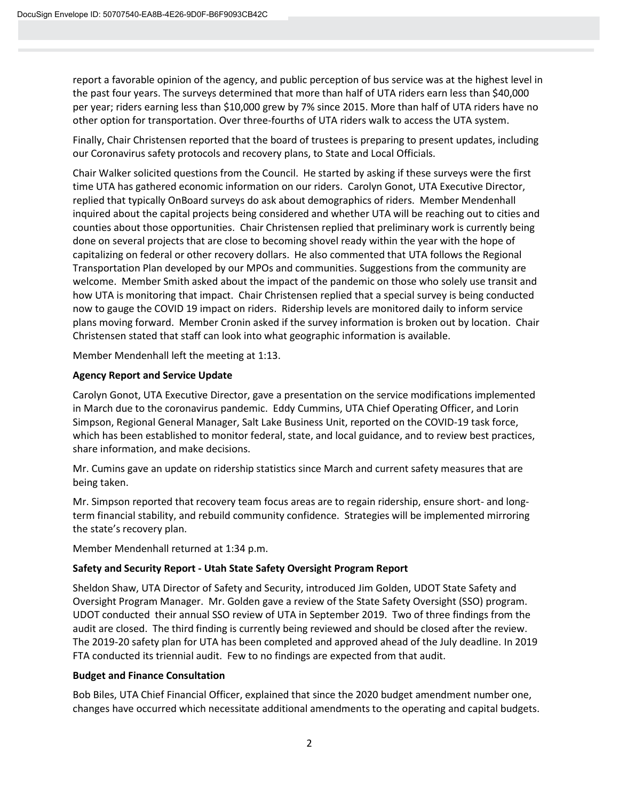report a favorable opinion of the agency, and public perception of bus service was at the highest level in the past four years. The surveys determined that more than half of UTA riders earn less than \$40,000 per year; riders earning less than \$10,000 grew by 7% since 2015. More than half of UTA riders have no other option for transportation. Over three-fourths of UTA riders walk to access the UTA system.

Finally, Chair Christensen reported that the board of trustees is preparing to present updates, including our Coronavirus safety protocols and recovery plans, to State and Local Officials.

Chair Walker solicited questions from the Council. He started by asking if these surveys were the first time UTA has gathered economic information on our riders. Carolyn Gonot, UTA Executive Director, replied that typically OnBoard surveys do ask about demographics of riders. Member Mendenhall inquired about the capital projects being considered and whether UTA will be reaching out to cities and counties about those opportunities. Chair Christensen replied that preliminary work is currently being done on several projects that are close to becoming shovel ready within the year with the hope of capitalizing on federal or other recovery dollars. He also commented that UTA follows the Regional Transportation Plan developed by our MPOs and communities. Suggestions from the community are welcome. Member Smith asked about the impact of the pandemic on those who solely use transit and how UTA is monitoring that impact. Chair Christensen replied that a special survey is being conducted now to gauge the COVID 19 impact on riders. Ridership levels are monitored daily to inform service plans moving forward. Member Cronin asked if the survey information is broken out by location. Chair Christensen stated that staff can look into what geographic information is available.

Member Mendenhall left the meeting at 1:13.

# **Agency Report and Service Update**

Carolyn Gonot, UTA Executive Director, gave a presentation on the service modifications implemented in March due to the coronavirus pandemic. Eddy Cummins, UTA Chief Operating Officer, and Lorin Simpson, Regional General Manager, Salt Lake Business Unit, reported on the COVID-19 task force, which has been established to monitor federal, state, and local guidance, and to review best practices, share information, and make decisions.

Mr. Cumins gave an update on ridership statistics since March and current safety measures that are being taken.

Mr. Simpson reported that recovery team focus areas are to regain ridership, ensure short- and longterm financial stability, and rebuild community confidence. Strategies will be implemented mirroring the state's recovery plan.

Member Mendenhall returned at 1:34 p.m.

# **Safety and Security Report - Utah State Safety Oversight Program Report**

Sheldon Shaw, UTA Director of Safety and Security, introduced Jim Golden, UDOT State Safety and Oversight Program Manager. Mr. Golden gave a review of the State Safety Oversight (SSO) program. UDOT conducted their annual SSO review of UTA in September 2019. Two of three findings from the audit are closed. The third finding is currently being reviewed and should be closed after the review. The 2019-20 safety plan for UTA has been completed and approved ahead of the July deadline. In 2019 FTA conducted its triennial audit. Few to no findings are expected from that audit.

#### **Budget and Finance Consultation**

Bob Biles, UTA Chief Financial Officer, explained that since the 2020 budget amendment number one, changes have occurred which necessitate additional amendments to the operating and capital budgets.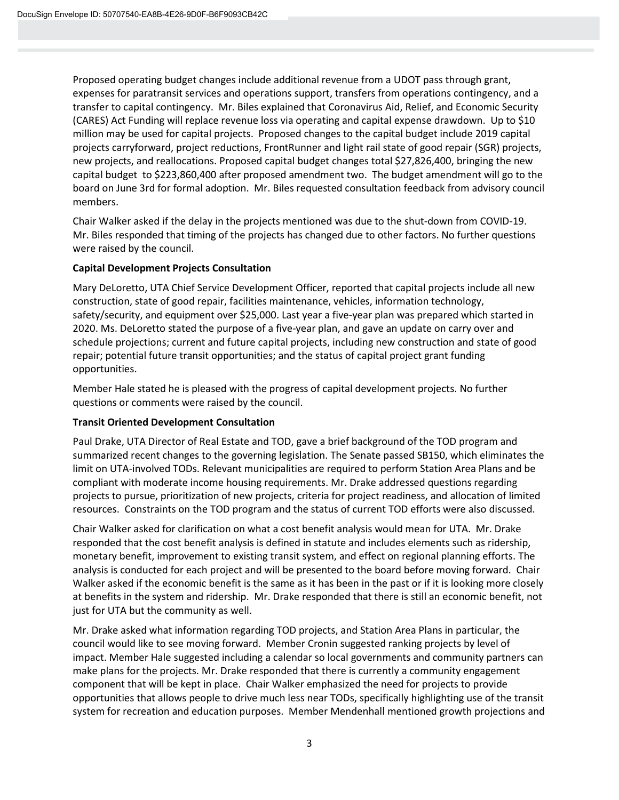Proposed operating budget changes include additional revenue from a UDOT pass through grant, expenses for paratransit services and operations support, transfers from operations contingency, and a transfer to capital contingency. Mr. Biles explained that Coronavirus Aid, Relief, and Economic Security (CARES) Act Funding will replace revenue loss via operating and capital expense drawdown. Up to \$10 million may be used for capital projects. Proposed changes to the capital budget include 2019 capital projects carryforward, project reductions, FrontRunner and light rail state of good repair (SGR) projects, new projects, and reallocations. Proposed capital budget changes total \$27,826,400, bringing the new capital budget to \$223,860,400 after proposed amendment two. The budget amendment will go to the board on June 3rd for formal adoption. Mr. Biles requested consultation feedback from advisory council members.

Chair Walker asked if the delay in the projects mentioned was due to the shut-down from COVID-19. Mr. Biles responded that timing of the projects has changed due to other factors. No further questions were raised by the council.

# **Capital Development Projects Consultation**

Mary DeLoretto, UTA Chief Service Development Officer, reported that capital projects include all new construction, state of good repair, facilities maintenance, vehicles, information technology, safety/security, and equipment over \$25,000. Last year a five-year plan was prepared which started in 2020. Ms. DeLoretto stated the purpose of a five-year plan, and gave an update on carry over and schedule projections; current and future capital projects, including new construction and state of good repair; potential future transit opportunities; and the status of capital project grant funding opportunities.

Member Hale stated he is pleased with the progress of capital development projects. No further questions or comments were raised by the council.

# **Transit Oriented Development Consultation**

Paul Drake, UTA Director of Real Estate and TOD, gave a brief background of the TOD program and summarized recent changes to the governing legislation. The Senate passed SB150, which eliminates the limit on UTA-involved TODs. Relevant municipalities are required to perform Station Area Plans and be compliant with moderate income housing requirements. Mr. Drake addressed questions regarding projects to pursue, prioritization of new projects, criteria for project readiness, and allocation of limited resources. Constraints on the TOD program and the status of current TOD efforts were also discussed.

Chair Walker asked for clarification on what a cost benefit analysis would mean for UTA. Mr. Drake responded that the cost benefit analysis is defined in statute and includes elements such as ridership, monetary benefit, improvement to existing transit system, and effect on regional planning efforts. The analysis is conducted for each project and will be presented to the board before moving forward. Chair Walker asked if the economic benefit is the same as it has been in the past or if it is looking more closely at benefits in the system and ridership. Mr. Drake responded that there is still an economic benefit, not just for UTA but the community as well.

Mr. Drake asked what information regarding TOD projects, and Station Area Plans in particular, the council would like to see moving forward. Member Cronin suggested ranking projects by level of impact. Member Hale suggested including a calendar so local governments and community partners can make plans for the projects. Mr. Drake responded that there is currently a community engagement component that will be kept in place. Chair Walker emphasized the need for projects to provide opportunities that allows people to drive much less near TODs, specifically highlighting use of the transit system for recreation and education purposes. Member Mendenhall mentioned growth projections and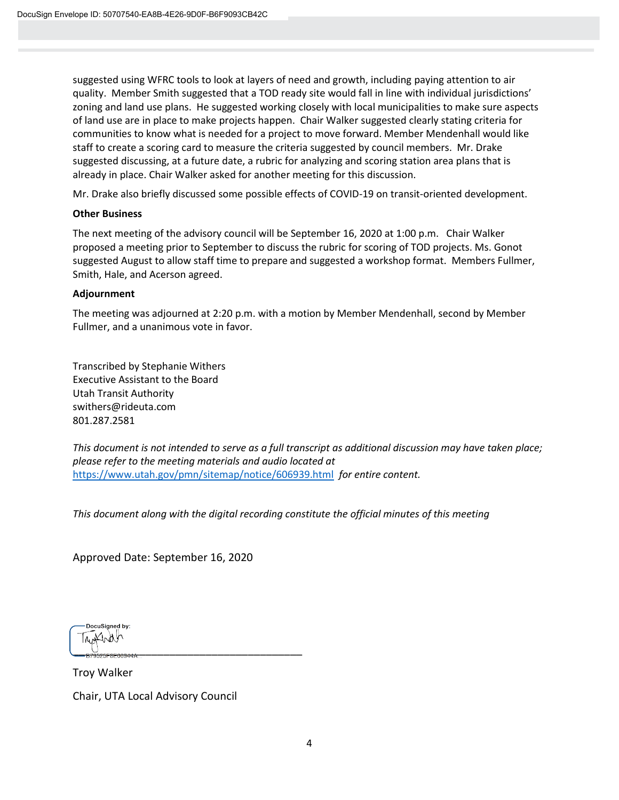suggested using WFRC tools to look at layers of need and growth, including paying attention to air quality. Member Smith suggested that a TOD ready site would fall in line with individual jurisdictions' zoning and land use plans. He suggested working closely with local municipalities to make sure aspects of land use are in place to make projects happen. Chair Walker suggested clearly stating criteria for communities to know what is needed for a project to move forward. Member Mendenhall would like staff to create a scoring card to measure the criteria suggested by council members. Mr. Drake suggested discussing, at a future date, a rubric for analyzing and scoring station area plans that is already in place. Chair Walker asked for another meeting for this discussion.

Mr. Drake also briefly discussed some possible effects of COVID-19 on transit-oriented development.

#### **Other Business**

The next meeting of the advisory council will be September 16, 2020 at 1:00 p.m. Chair Walker proposed a meeting prior to September to discuss the rubric for scoring of TOD projects. Ms. Gonot suggested August to allow staff time to prepare and suggested a workshop format. Members Fullmer, Smith, Hale, and Acerson agreed.

#### **Adjournment**

The meeting was adjourned at 2:20 p.m. with a motion by Member Mendenhall, second by Member Fullmer, and a unanimous vote in favor.

Transcribed by Stephanie Withers Executive Assistant to the Board Utah Transit Authority swithers@rideuta.com 801.287.2581

*This document is not intended to serve as a full transcript as additional discussion may have taken place; please refer to the meeting materials and audio located at*  <https://www.utah.gov/pmn/sitemap/notice/606939.html> *for entire content.* 

*This document along with the digital recording constitute the official minutes of this meeting*

Approved Date: September 16, 2020

DocuSianed by: \_\_\_\_\_\_\_\_\_\_\_\_\_\_\_\_\_\_\_\_\_\_\_\_\_\_\_\_\_\_\_\_\_\_\_\_\_\_

Troy Walker

Chair, UTA Local Advisory Council